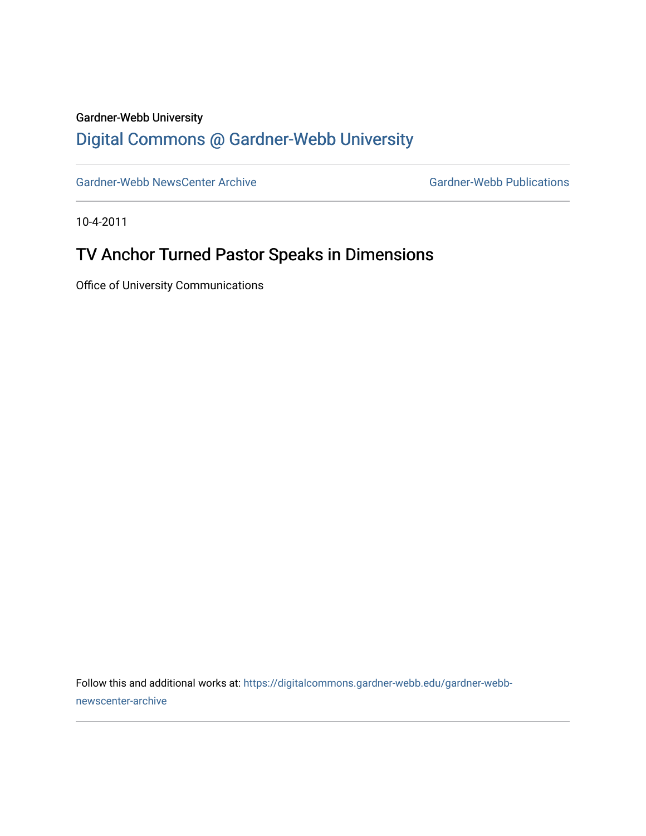## Gardner-Webb University

## [Digital Commons @ Gardner-Webb University](https://digitalcommons.gardner-webb.edu/)

[Gardner-Webb NewsCenter Archive](https://digitalcommons.gardner-webb.edu/gardner-webb-newscenter-archive) Gardner-Webb Publications

10-4-2011

## TV Anchor Turned Pastor Speaks in Dimensions

Office of University Communications

Follow this and additional works at: [https://digitalcommons.gardner-webb.edu/gardner-webb](https://digitalcommons.gardner-webb.edu/gardner-webb-newscenter-archive?utm_source=digitalcommons.gardner-webb.edu%2Fgardner-webb-newscenter-archive%2F1997&utm_medium=PDF&utm_campaign=PDFCoverPages)[newscenter-archive](https://digitalcommons.gardner-webb.edu/gardner-webb-newscenter-archive?utm_source=digitalcommons.gardner-webb.edu%2Fgardner-webb-newscenter-archive%2F1997&utm_medium=PDF&utm_campaign=PDFCoverPages)